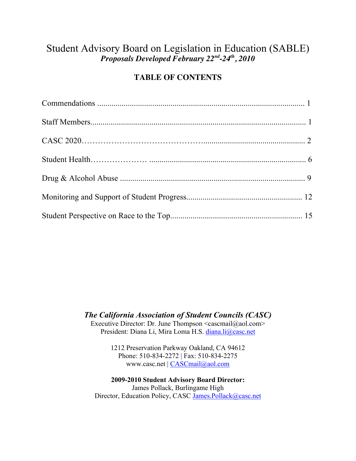# Student Advisory Board on Legislation in Education (SABLE) *Proposals Developed February 22nd-24th, 2010*

# **TABLE OF CONTENTS**

*The California Association of Student Councils (CASC)*

Executive Director: Dr. June Thompson <cascmail@aol.com> President: Diana Li, Mira Loma H.S. diana.li@casc.net

> 1212 Preservation Parkway Oakland, CA 94612 Phone: 510-834-2272 | Fax: 510-834-2275 www.casc.net | CASCmail@aol.com

**2009-2010 Student Advisory Board Director:** James Pollack, Burlingame High Director, Education Policy, CASC James.Pollack@casc.net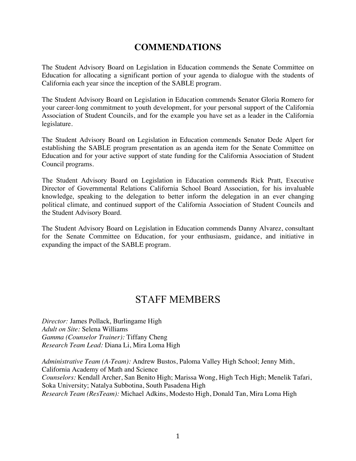# **COMMENDATIONS**

The Student Advisory Board on Legislation in Education commends the Senate Committee on Education for allocating a significant portion of your agenda to dialogue with the students of California each year since the inception of the SABLE program.

The Student Advisory Board on Legislation in Education commends Senator Gloria Romero for your career-long commitment to youth development, for your personal support of the California Association of Student Councils, and for the example you have set as a leader in the California legislature.

The Student Advisory Board on Legislation in Education commends Senator Dede Alpert for establishing the SABLE program presentation as an agenda item for the Senate Committee on Education and for your active support of state funding for the California Association of Student Council programs.

The Student Advisory Board on Legislation in Education commends Rick Pratt, Executive Director of Governmental Relations California School Board Association, for his invaluable knowledge, speaking to the delegation to better inform the delegation in an ever changing political climate, and continued support of the California Association of Student Councils and the Student Advisory Board.

The Student Advisory Board on Legislation in Education commends Danny Alvarez, consultant for the Senate Committee on Education, for your enthusiasm, guidance, and initiative in expanding the impact of the SABLE program.

# STAFF MEMBERS

*Director:* James Pollack, Burlingame High *Adult on Site:* Selena Williams *Gamma (Counselor Trainer):* Tiffany Cheng *Research Team Lead:* Diana Li, Mira Loma High

*Administrative Team (A-Team):* Andrew Bustos, Paloma Valley High School; Jenny Mith, California Academy of Math and Science *Counselors:* Kendall Archer, San Benito High; Marissa Wong, High Tech High; Menelik Tafari, Soka University; Natalya Subbotina, South Pasadena High *Research Team (ResTeam):* Michael Adkins, Modesto High, Donald Tan, Mira Loma High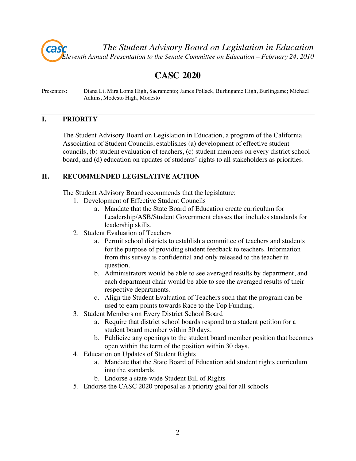*The Student Advisory Board on Legislation in Education Eleventh Annual Presentation to the Senate Committee on Education – February 24, 2010*

# **CASC 2020**

Presenters: Diana Li, Mira Loma High, Sacramento; James Pollack, Burlingame High, Burlingame; Michael Adkins, Modesto High, Modesto

#### **I. PRIORITY**

The Student Advisory Board on Legislation in Education, a program of the California Association of Student Councils, establishes (a) development of effective student councils, (b) student evaluation of teachers, (c) student members on every district school board, and (d) education on updates of students' rights to all stakeholders as priorities.

### **II. RECOMMENDED LEGISLATIVE ACTION**

The Student Advisory Board recommends that the legislature:

- 1. Development of Effective Student Councils
	- a. Mandate that the State Board of Education create curriculum for Leadership/ASB/Student Government classes that includes standards for leadership skills.
- 2. Student Evaluation of Teachers
	- a. Permit school districts to establish a committee of teachers and students for the purpose of providing student feedback to teachers. Information from this survey is confidential and only released to the teacher in question.
	- b. Administrators would be able to see averaged results by department, and each department chair would be able to see the averaged results of their respective departments.
	- c. Align the Student Evaluation of Teachers such that the program can be used to earn points towards Race to the Top Funding.
- 3. Student Members on Every District School Board
	- a. Require that district school boards respond to a student petition for a student board member within 30 days.
	- b. Publicize any openings to the student board member position that becomes open within the term of the position within 30 days.
- 4. Education on Updates of Student Rights
	- a. Mandate that the State Board of Education add student rights curriculum into the standards.
	- b. Endorse a state-wide Student Bill of Rights
- 5. Endorse the CASC 2020 proposal as a priority goal for all schools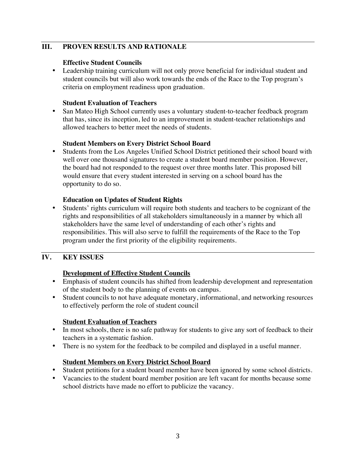## **III. PROVEN RESULTS AND RATIONALE**

#### **Effective Student Councils**

• Leadership training curriculum will not only prove beneficial for individual student and student councils but will also work towards the ends of the Race to the Top program's criteria on employment readiness upon graduation.

#### **Student Evaluation of Teachers**

• San Mateo High School currently uses a voluntary student-to-teacher feedback program that has, since its inception, led to an improvement in student-teacher relationships and allowed teachers to better meet the needs of students.

#### **Student Members on Every District School Board**

• Students from the Los Angeles Unified School District petitioned their school board with well over one thousand signatures to create a student board member position. However, the board had not responded to the request over three months later. This proposed bill would ensure that every student interested in serving on a school board has the opportunity to do so.

#### **Education on Updates of Student Rights**

• Students' rights curriculum will require both students and teachers to be cognizant of the rights and responsibilities of all stakeholders simultaneously in a manner by which all stakeholders have the same level of understanding of each other's rights and responsibilities. This will also serve to fulfill the requirements of the Race to the Top program under the first priority of the eligibility requirements.

# **IV. KEY ISSUES**

#### **Development of Effective Student Councils**

- Emphasis of student councils has shifted from leadership development and representation of the student body to the planning of events on campus.
- Student councils to not have adequate monetary, informational, and networking resources to effectively perform the role of student council

#### **Student Evaluation of Teachers**

- In most schools, there is no safe pathway for students to give any sort of feedback to their teachers in a systematic fashion.
- There is no system for the feedback to be compiled and displayed in a useful manner.

#### **Student Members on Every District School Board**

- Student petitions for a student board member have been ignored by some school districts.
- Vacancies to the student board member position are left vacant for months because some school districts have made no effort to publicize the vacancy.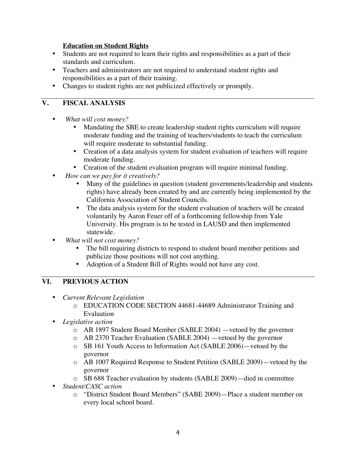#### **Education on Student Rights**

- Students are not required to learn their rights and responsibilities as a part of their standards and curriculum.
- Teachers and administrators are not required to understand student rights and responsibilities as a part of their training.
- Changes to student rights are not publicized effectively or promptly.

### **V. FISCAL ANALYSIS**

- *What will cost money?*
	- Mandating the SBE to create leadership student rights curriculum will require moderate funding and the training of teachers/students to teach the curriculum will require moderate to substantial funding.
	- Creation of a data analysis system for student evaluation of teachers will require moderate funding.
	- Creation of the student evaluation program will require minimal funding.
- *How can we pay for it creatively?*
	- Many of the guidelines in question (student governments/leadership and students rights) have already been created by and are currently being implemented by the California Association of Student Councils.
	- The data analysis system for the student evaluation of teachers will be created voluntarily by Aaron Feuer off of a forthcoming fellowship from Yale University. His program is to be tested in LAUSD and then implemented statewide.
- *What will not cost money?*
	- The bill requiring districts to respond to student board member petitions and publicize those positions will not cost anything.
	- Adoption of a Student Bill of Rights would not have any cost.

# **VI. PREVIOUS ACTION**

- *Current Relevant Legislation*
	- o EDUCATION CODE SECTION 44681-44689 Administrator Training and Evaluation
- *Legislative action*
	- o AB 1897 Student Board Member (SABLE 2004) —vetoed by the governor
	- o AB 2370 Teacher Evaluation (SABLE 2004) —vetoed by the governor
	- o SB 161 Youth Access to Information Act (SABLE 2006)—vetoed by the governor
	- o AB 1007 Required Response to Student Petition (SABLE 2009)—vetoed by the governor
	- o SB 688 Teacher evaluation by students (SABLE 2009)—died in committee
- *Student/CASC action*
	- o "District Student Board Members" (SABE 2009)—Place a student member on every local school board.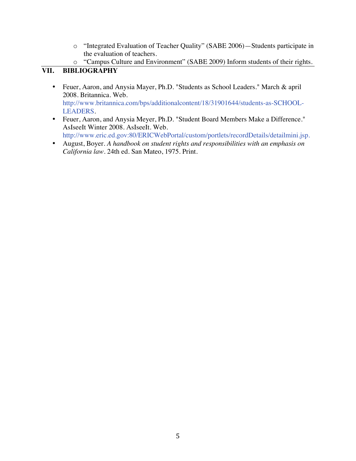- o "Integrated Evaluation of Teacher Quality" (SABE 2006)—Students participate in the evaluation of teachers.
- o "Campus Culture and Environment" (SABE 2009) Inform students of their rights.

# **VII. BIBLIOGRAPHY**

- Feuer, Aaron, and Anysia Mayer, Ph.D. "Students as School Leaders." March & april 2008. Britannica. Web. http://www.britannica.com/bps/additionalcontent/18/31901644/students-as-SCHOOL-LEADERS.
- Feuer, Aaron, and Anysia Meyer, Ph.D. "Student Board Members Make a Difference." AsIseeIt Winter 2008. AsIseeIt. Web. http://www.eric.ed.gov:80/ERICWebPortal/custom/portlets/recordDetails/detailmini.jsp.
- August, Boyer. *A handbook on student rights and responsibilities with an emphasis on California law*. 24th ed. San Mateo, 1975. Print.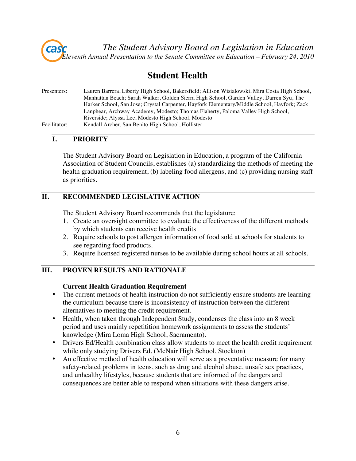

# **Student Health**

| Presenters:  | Lauren Barrera, Liberty High School, Bakersfield; Allison Wisialowski, Mira Costa High School, |
|--------------|------------------------------------------------------------------------------------------------|
|              | Manhattan Beach; Sarah Walker, Golden Sierra High School, Garden Valley; Darren Syu, The       |
|              | Harker School, San Jose; Crystal Carpenter, Hayfork Elementary/Middle School, Hayfork; Zack    |
|              | Lanphear, Archway Academy, Modesto; Thomas Flaherty, Paloma Valley High School,                |
|              | Riverside; Alyssa Lee, Modesto High School, Modesto                                            |
| Facilitator: | Kendall Archer, San Benito High School, Hollister                                              |

## **I. PRIORITY**

The Student Advisory Board on Legislation in Education, a program of the California Association of Student Councils, establishes (a) standardizing the methods of meeting the health graduation requirement, (b) labeling food allergens, and (c) providing nursing staff as priorities.

# **II. RECOMMENDED LEGISLATIVE ACTION**

The Student Advisory Board recommends that the legislature:

- 1. Create an oversight committee to evaluate the effectiveness of the different methods by which students can receive health credits
- 2. Require schools to post allergen information of food sold at schools for students to see regarding food products.
- 3. Require licensed registered nurses to be available during school hours at all schools.

# **III. PROVEN RESULTS AND RATIONALE**

#### **Current Health Graduation Requirement**

- The current methods of health instruction do not sufficiently ensure students are learning the curriculum because there is inconsistency of instruction between the different alternatives to meeting the credit requirement.
- Health, when taken through Independent Study, condenses the class into an 8 week period and uses mainly repetitition homework assignments to assess the students' knowledge (Mira Loma High School, Sacramento).
- Drivers Ed/Health combination class allow students to meet the health credit requirement while only studying Drivers Ed. (McNair High School, Stockton)
- An effective method of health education will serve as a preventative measure for many safety-related problems in teens, such as drug and alcohol abuse, unsafe sex practices, and unhealthy lifestyles, because students that are informed of the dangers and consequences are better able to respond when situations with these dangers arise.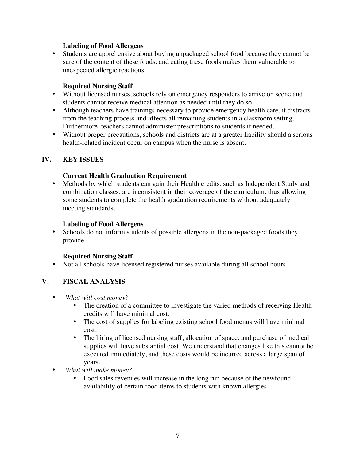#### **Labeling of Food Allergens**

• Students are apprehensive about buying unpackaged school food because they cannot be sure of the content of these foods, and eating these foods makes them vulnerable to unexpected allergic reactions.

#### **Required Nursing Staff**

- Without licensed nurses, schools rely on emergency responders to arrive on scene and students cannot receive medical attention as needed until they do so.
- Although teachers have trainings necessary to provide emergency health care, it distracts from the teaching process and affects all remaining students in a classroom setting. Furthermore, teachers cannot administer prescriptions to students if needed.
- Without proper precautions, schools and districts are at a greater liability should a serious health-related incident occur on campus when the nurse is absent.

#### **IV. KEY ISSUES**

#### **Current Health Graduation Requirement**

• Methods by which students can gain their Health credits, such as Independent Study and combination classes, are inconsistent in their coverage of the curriculum, thus allowing some students to complete the health graduation requirements without adequately meeting standards.

#### **Labeling of Food Allergens**

• Schools do not inform students of possible allergens in the non-packaged foods they provide.

#### **Required Nursing Staff**

• Not all schools have licensed registered nurses available during all school hours.

# **V. FISCAL ANALYSIS**

- *What will cost money?*
	- The creation of a committee to investigate the varied methods of receiving Health credits will have minimal cost.
	- The cost of supplies for labeling existing school food menus will have minimal cost.
	- The hiring of licensed nursing staff, allocation of space, and purchase of medical supplies will have substantial cost. We understand that changes like this cannot be executed immediately, and these costs would be incurred across a large span of years.
- *What will make money?*
	- Food sales revenues will increase in the long run because of the newfound availability of certain food items to students with known allergies.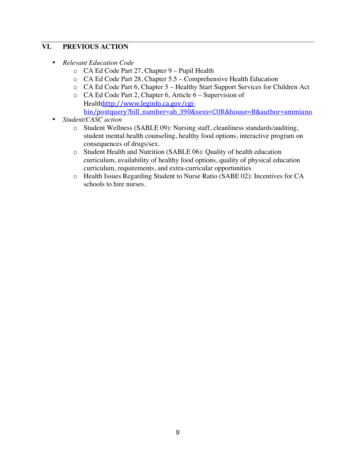### **VI. PREVIOUS ACTION**

- *Relevant Education Code*
	- o CA Ed Code Part 27, Chapter 9 Pupil Health
	- o CA Ed Code Part 28, Chapter 5.5 Comprehensive Health Education
	- o CA Ed Code Part 6, Chapter 5 Healthy Start Support Services for Children Act
	- o CA Ed Code Part 2, Chapter 6, Article 6 Supervision of Healthhttp://www.leginfo.ca.gov/cgi; bin/postquery?bill\_number=ab\_390&sess=CUR&house=B&author=ammiano
- *Student/CASC action*
	- o Student Wellness (SABLE 09): Nursing staff, cleanliness standards/auditing, student mental health counseling, healthy food options, interactive program on consequences of drugs/sex.
	- o Student Health and Nutrition (SABLE 06): Quality of health education curriculum, availability of healthy food options, quality of physical education curriculum, requirements, and extra-curricular opportunities
	- o Health Issues Regarding Student to Nurse Ratio (SABE 02): Incentives for CA schools to hire nurses.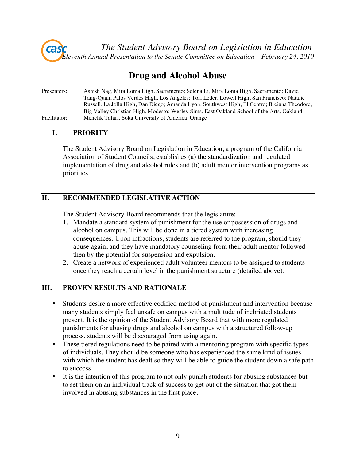

# **Drug and Alcohol Abuse**

Presenters: Ashish Nag, Mira Loma High, Sacramento; Selena Li, Mira Loma High, Sacramento; David Tang-Quan, Palos Verdes High, Los Angeles; Tori Leder, Lowell High, San Francisco; Natalie Russell, La Jolla High, Dan Diego; Amanda Lyon, Southwest High, El Centro; Breiana Theodore, Big Valley Christian High, Modesto; Wesley Sims, East Oakland School of the Arts, Oakland Facilitator: Menelik Tafari, Soka University of America, Orange

# **I. PRIORITY**

The Student Advisory Board on Legislation in Education, a program of the California Association of Student Councils, establishes (a) the standardization and regulated implementation of drug and alcohol rules and (b) adult mentor intervention programs as priorities.

#### **II. RECOMMENDED LEGISLATIVE ACTION**

The Student Advisory Board recommends that the legislature:

- 1. Mandate a standard system of punishment for the use or possession of drugs and alcohol on campus. This will be done in a tiered system with increasing consequences. Upon infractions, students are referred to the program, should they abuse again, and they have mandatory counseling from their adult mentor followed then by the potential for suspension and expulsion.
- 2. Create a network of experienced adult volunteer mentors to be assigned to students once they reach a certain level in the punishment structure (detailed above).

#### **III. PROVEN RESULTS AND RATIONALE**

- Students desire a more effective codified method of punishment and intervention because many students simply feel unsafe on campus with a multitude of inebriated students present. It is the opinion of the Student Advisory Board that with more regulated punishments for abusing drugs and alcohol on campus with a structured follow-up process, students will be discouraged from using again.
- These tiered regulations need to be paired with a mentoring program with specific types of individuals. They should be someone who has experienced the same kind of issues with which the student has dealt so they will be able to guide the student down a safe path to success.
- It is the intention of this program to not only punish students for abusing substances but to set them on an individual track of success to get out of the situation that got them involved in abusing substances in the first place.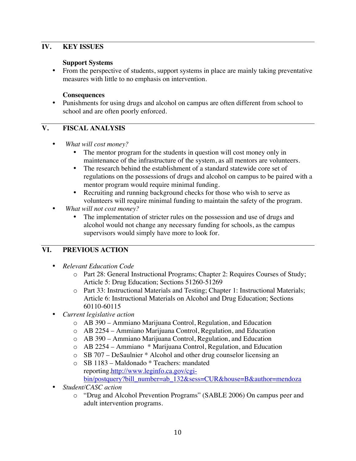### **IV. KEY ISSUES**

#### **Support Systems**

• From the perspective of students, support systems in place are mainly taking preventative measures with little to no emphasis on intervention.

#### **Consequences**

• Punishments for using drugs and alcohol on campus are often different from school to school and are often poorly enforced.

### **V. FISCAL ANALYSIS**

- *What will cost money?*
	- The mentor program for the students in question will cost money only in maintenance of the infrastructure of the system, as all mentors are volunteers.
	- The research behind the establishment of a standard statewide core set of regulations on the possessions of drugs and alcohol on campus to be paired with a mentor program would require minimal funding.
	- Recruiting and running background checks for those who wish to serve as volunteers will require minimal funding to maintain the safety of the program.
- *What will not cost money?*
	- The implementation of stricter rules on the possession and use of drugs and alcohol would not change any necessary funding for schools, as the campus supervisors would simply have more to look for.

# **VI. PREVIOUS ACTION**

- *Relevant Education Code*
	- o Part 28: General Instructional Programs; Chapter 2: Requires Courses of Study; Article 5: Drug Education; Sections 51260-51269
	- o Part 33: Instructional Materials and Testing; Chapter 1: Instructional Materials; Article 6: Instructional Materials on Alcohol and Drug Education; Sections 60110-60115
- *Current legislative action*
	- o AB 390 Ammiano Marijuana Control, Regulation, and Education
	- o AB 2254 Ammiano Marijuana Control, Regulation, and Education
	- o AB 390 Ammiano Marijuana Control, Regulation, and Education
	- o AB 2254 Ammiano \* Marijuana Control, Regulation, and Education
	- o SB 707 DeSaulnier \* Alcohol and other drug counselor licensing an
	- o SB 1183 Maldonado \* Teachers: mandated reporting.http://www.leginfo.ca.gov/cgibin/postquery?bill\_number=ab\_132&sess=CUR&house=B&author=mendoza
- *Student/CASC action*
	- o "Drug and Alcohol Prevention Programs" (SABLE 2006) On campus peer and adult intervention programs.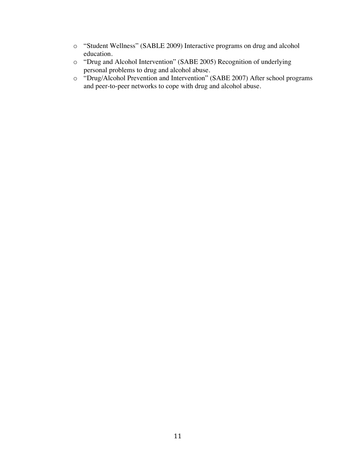- o "Student Wellness" (SABLE 2009) Interactive programs on drug and alcohol education.
- o "Drug and Alcohol Intervention" (SABE 2005) Recognition of underlying personal problems to drug and alcohol abuse.
- o "Drug/Alcohol Prevention and Intervention" (SABE 2007) After school programs and peer-to-peer networks to cope with drug and alcohol abuse.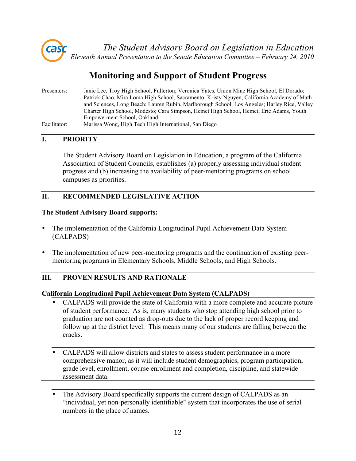

*The Student Advisory Board on Legislation in Education Eleventh Annual Presentation to the Senate Education Committee – February 24, 2010*

# **Monitoring and Support of Student Progress**

| Presenters:  | Janie Lee, Troy High School, Fullerton; Veronica Yates, Union Mine High School, El Dorado;   |
|--------------|----------------------------------------------------------------------------------------------|
|              | Patrick Chao, Mira Loma High School, Sacramento; Kristy Nguyen, California Academy of Math   |
|              | and Sciences, Long Beach; Lauren Rubin, Marlborough School, Los Angeles; Harley Rice, Valley |
|              | Charter High School, Modesto; Cara Simpson, Hemet High School, Hemet; Eric Adams, Youth      |
|              | Empowerment School, Oakland                                                                  |
| Facilitator: | Marissa Wong, High Tech High International, San Diego                                        |

# **I. PRIORITY**

The Student Advisory Board on Legislation in Education, a program of the California Association of Student Councils, establishes (a) properly assessing individual student progress and (b) increasing the availability of peer-mentoring programs on school campuses as priorities.

# **II. RECOMMENDED LEGISLATIVE ACTION**

#### **The Student Advisory Board supports:**

- The implementation of the California Longitudinal Pupil Achievement Data System (CALPADS)
- The implementation of new peer-mentoring programs and the continuation of existing peermentoring programs in Elementary Schools, Middle Schools, and High Schools.

# **III. PROVEN RESULTS AND RATIONALE**

#### **California Longitudinal Pupil Achievement Data System (CALPADS)**

- CALPADS will provide the state of California with a more complete and accurate picture of student performance. As is, many students who stop attending high school prior to graduation are not counted as drop-outs due to the lack of proper record keeping and follow up at the district level. This means many of our students are falling between the cracks.
- CALPADS will allow districts and states to assess student performance in a more comprehensive manor, as it will include student demographics, program participation, grade level, enrollment, course enrollment and completion, discipline, and statewide assessment data.
- The Advisory Board specifically supports the current design of CALPADS as an "individual, yet non-personally identifiable" system that incorporates the use of serial numbers in the place of names.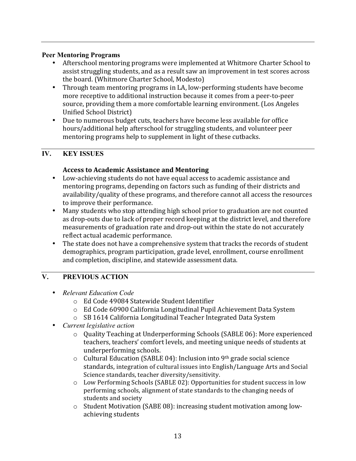#### **Peer Mentoring Programs**

- Afterschool mentoring programs were implemented at Whitmore Charter School to assist struggling students, and as a result saw an improvement in test scores across the board. (Whitmore Charter School, Modesto)
- Through team mentoring programs in LA, low-performing students have become more receptive to additional instruction because it comes from a peer-to-peer source, providing them a more comfortable learning environment. (Los Angeles Unified School District)
- Due to numerous budget cuts, teachers have become less available for office hours/additional help afterschool for struggling students, and volunteer peer mentoring programs help to supplement in light of these cutbacks.

# **IV. KEY ISSUES**

# **Access to Academic Assistance and Mentoring**

- Low-achieving students do not have equal access to academic assistance and mentoring programs, depending on factors such as funding of their districts and availability/quality of these programs, and therefore cannot all access the resources to improve their performance.
- Many students who stop attending high school prior to graduation are not counted as drop-outs due to lack of proper record keeping at the district level, and therefore measurements of graduation rate and drop-out within the state do not accurately reflect actual academic performance.
- The state does not have a comprehensive system that tracks the records of student demographics, program participation, grade level, enrollment, course enrollment and completion, discipline, and statewide assessment data.

# **V. PREVIOUS ACTION**

- *Relevant Education Code*
	- o Ed Code 49084 Statewide Student Identifier
	- o Ed Code 60900 California Longitudinal Pupil Achievement Data System
	- $\circ$  SB 1614 California Longitudinal Teacher Integrated Data System
- *Current legislative action*
	- o Quality Teaching at Underperforming Schools (SABLE 06): More experienced teachers, teachers' comfort levels, and meeting unique needs of students at underperforming schools.
	- $\circ$  Cultural Education (SABLE 04): Inclusion into 9th grade social science standards, integration of cultural issues into English/Language Arts and Social Science standards, teacher diversity/sensitivity.
	- $\circ$  Low Performing Schools (SABLE 02): Opportunities for student success in low performing schools, alignment of state standards to the changing needs of students and society
	- $\circ$  Student Motivation (SABE 08): increasing student motivation among lowachieving students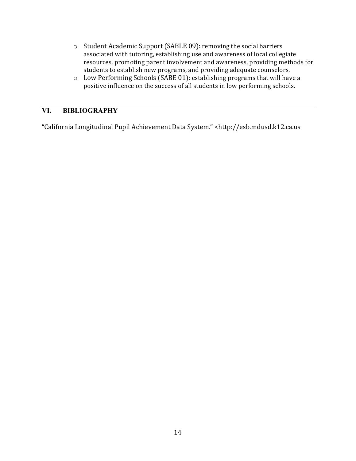- o Student Academic Support (SABLE 09): removing the social barriers associated with tutoring, establishing use and awareness of local collegiate resources, promoting parent involvement and awareness, providing methods for students to establish new programs, and providing adequate counselors.
- $\circ$  Low Performing Schools (SABE 01): establishing programs that will have a positive influence on the success of all students in low performing schools.

## **VI. BIBLIOGRAPHY**

"California Longitudinal Pupil Achievement Data System." <http://esb.mdusd.k12.ca.us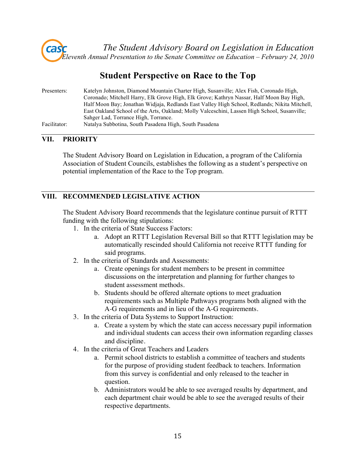

# **Student Perspective on Race to the Top**

| Presenters:  | Katelyn Johnston, Diamond Mountain Charter High, Susanville; Alex Fish, Coronado High,        |
|--------------|-----------------------------------------------------------------------------------------------|
|              | Coronado; Mitchell Harry, Elk Grove High, Elk Grove; Kathryn Nassar, Half Moon Bay High,      |
|              | Half Moon Bay; Jonathan Widjaja, Redlands East Valley High School, Redlands; Nikita Mitchell, |
|              | East Oakland School of the Arts, Oakland; Molly Valceschini, Lassen High School, Susanville;  |
|              | Sahger Lad, Torrance High, Torrance.                                                          |
| Facilitator: | Natalya Subbotina, South Pasadena High, South Pasadena                                        |

#### **VII. PRIORITY**

The Student Advisory Board on Legislation in Education, a program of the California Association of Student Councils, establishes the following as a student's perspective on potential implementation of the Race to the Top program.

## **VIII. RECOMMENDED LEGISLATIVE ACTION**

The Student Advisory Board recommends that the legislature continue pursuit of RTTT funding with the following stipulations:

- 1. In the criteria of State Success Factors:
	- a. Adopt an RTTT Legislation Reversal Bill so that RTTT legislation may be automatically rescinded should California not receive RTTT funding for said programs.
- 2. In the criteria of Standards and Assessments:
	- a. Create openings for student members to be present in committee discussions on the interpretation and planning for further changes to student assessment methods.
	- b. Students should be offered alternate options to meet graduation requirements such as Multiple Pathways programs both aligned with the A-G requirements and in lieu of the A-G requirements.
- 3. In the criteria of Data Systems to Support Instruction:
	- a. Create a system by which the state can access necessary pupil information and individual students can access their own information regarding classes and discipline.
- 4. In the criteria of Great Teachers and Leaders
	- a. Permit school districts to establish a committee of teachers and students for the purpose of providing student feedback to teachers. Information from this survey is confidential and only released to the teacher in question.
	- b. Administrators would be able to see averaged results by department, and each department chair would be able to see the averaged results of their respective departments.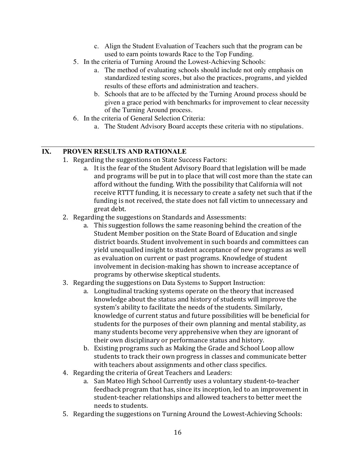- c. Align the Student Evaluation of Teachers such that the program can be used to earn points towards Race to the Top Funding.
- 5. In the criteria of Turning Around the Lowest-Achieving Schools:
	- a. The method of evaluating schools should include not only emphasis on standardized testing scores, but also the practices, programs, and yielded results of these efforts and administration and teachers.
	- b. Schools that are to be affected by the Turning Around process should be given a grace period with benchmarks for improvement to clear necessity of the Turning Around process.
- 6. In the criteria of General Selection Criteria:
	- a. The Student Advisory Board accepts these criteria with no stipulations.

### **IX. PROVEN RESULTS AND RATIONALE**

- 1. Regarding the suggestions on State Success Factors:
	- a. It is the fear of the Student Advisory Board that legislation will be made and programs will be put in to place that will cost more than the state can afford without the funding. With the possibility that California will not receive RTTT funding, it is necessary to create a safety net such that if the funding is not received, the state does not fall victim to unnecessary and great debt.
- 2. Regarding the suggestions on Standards and Assessments:
	- a. This suggestion follows the same reasoning behind the creation of the Student Member position on the State Board of Education and single district boards. Student involvement in such boards and committees can yield unequalled insight to student acceptance of new programs as well as evaluation on current or past programs. Knowledge of student involvement in decision-making has shown to increase acceptance of programs by otherwise skeptical students.
- 3. Regarding the suggestions on Data Systems to Support Instruction:
	- a. Longitudinal tracking systems operate on the theory that increased knowledge about the status and history of students will improve the system's ability to facilitate the needs of the students. Similarly, knowledge of current status and future possibilities will be beneficial for students for the purposes of their own planning and mental stability, as many students become very apprehensive when they are ignorant of their own disciplinary or performance status and history.
	- b. Existing programs such as Making the Grade and School Loop allow students to track their own progress in classes and communicate better with teachers about assignments and other class specifics.
- 4. Regarding the criteria of Great Teachers and Leaders:
	- a. San Mateo High School Currently uses a voluntary student-to-teacher feedback program that has, since its inception, led to an improvement in student-teacher relationships and allowed teachers to better meet the needs to students.
- 5. Regarding the suggestions on Turning Around the Lowest-Achieving Schools: